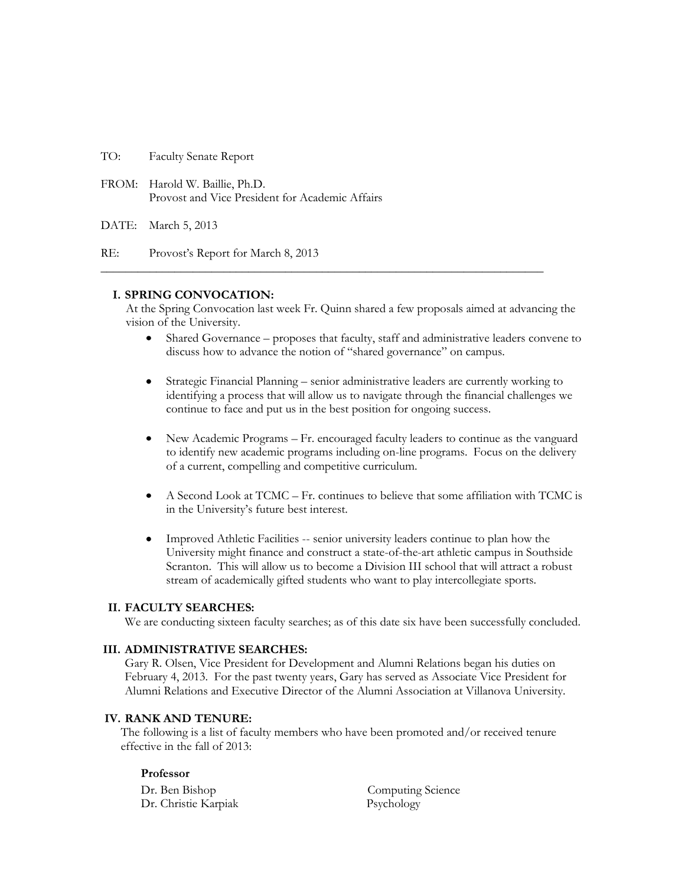TO: Faculty Senate Report

FROM: Harold W. Baillie, Ph.D. Provost and Vice President for Academic Affairs

DATE: March 5, 2013

RE: Provost's Report for March 8, 2013

# **I. SPRING CONVOCATION:**

At the Spring Convocation last week Fr. Quinn shared a few proposals aimed at advancing the vision of the University.

**\_\_\_\_\_\_\_\_\_\_\_\_\_\_\_\_\_\_\_\_\_\_\_\_\_\_\_\_\_\_\_\_\_\_\_\_\_\_\_\_\_\_\_\_\_\_\_\_\_\_\_\_\_\_\_\_\_\_\_\_\_\_\_\_\_\_\_\_\_\_\_\_**

- Shared Governance proposes that faculty, staff and administrative leaders convene to discuss how to advance the notion of "shared governance" on campus.
- Strategic Financial Planning senior administrative leaders are currently working to identifying a process that will allow us to navigate through the financial challenges we continue to face and put us in the best position for ongoing success.
- New Academic Programs Fr. encouraged faculty leaders to continue as the vanguard to identify new academic programs including on-line programs. Focus on the delivery of a current, compelling and competitive curriculum.
- A Second Look at TCMC Fr. continues to believe that some affiliation with TCMC is in the University's future best interest.
- Improved Athletic Facilities -- senior university leaders continue to plan how the University might finance and construct a state-of-the-art athletic campus in Southside Scranton. This will allow us to become a Division III school that will attract a robust stream of academically gifted students who want to play intercollegiate sports.

#### **II. FACULTY SEARCHES:**

We are conducting sixteen faculty searches; as of this date six have been successfully concluded.

#### **III. ADMINISTRATIVE SEARCHES:**

Gary R. Olsen, Vice President for Development and Alumni Relations began his duties on February 4, 2013. For the past twenty years, Gary has served as Associate Vice President for Alumni Relations and Executive Director of the Alumni Association at Villanova University.

## **IV. RANK AND TENURE:**

The following is a list of faculty members who have been promoted and/or received tenure effective in the fall of 2013:

#### **Professor**

Dr. Ben Bishop Computing Science Dr. Christie Karpiak Psychology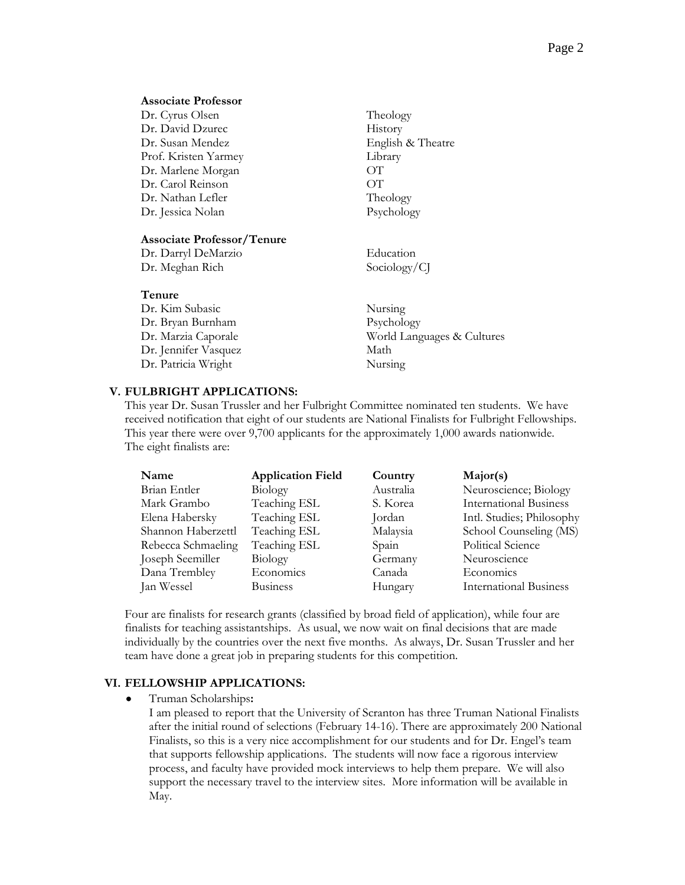#### **Associate Professor**

| Dr. Cyrus Olsen      | The  |
|----------------------|------|
| Dr. David Dzurec     | His  |
| Dr. Susan Mendez     | Enş  |
| Prof. Kristen Yarmey | Lib. |
| Dr. Marlene Morgan   | ОT   |
| Dr. Carol Reinson    | ОT   |
| Dr. Nathan Lefler    | The  |
| Dr. Jessica Nolan    | Psy  |

## **Associate Professor/Tenure**

| Dr. Darryl DeMarzio | Education    |
|---------------------|--------------|
| Dr. Meghan Rich     | Sociology/CJ |

#### **Tenure**

Dr. Kim Subasic Nursing Dr. Bryan Burnham Psychology Dr. Jennifer Vasquez Math Dr. Patricia Wright Nursing

Dr. Marzia Caporale World Languages & Cultures

Theology History

Library

Theology Psychology

English & Theatre

#### **V. FULBRIGHT APPLICATIONS:**

This year Dr. Susan Trussler and her Fulbright Committee nominated ten students. We have received notification that eight of our students are National Finalists for Fulbright Fellowships. This year there were over 9,700 applicants for the approximately 1,000 awards nationwide. The eight finalists are:

| Name               | <b>Application Field</b> | Country   | Major(s)                      |
|--------------------|--------------------------|-----------|-------------------------------|
| Brian Entler       | <b>Biology</b>           | Australia | Neuroscience; Biology         |
| Mark Grambo        | Teaching ESL             | S. Korea  | <b>International Business</b> |
| Elena Habersky     | Teaching ESL             | Jordan    | Intl. Studies; Philosophy     |
| Shannon Haberzettl | Teaching ESL             | Malaysia  | School Counseling (MS)        |
| Rebecca Schmaeling | Teaching ESL             | Spain     | Political Science             |
| Joseph Seemiller   | Biology                  | Germany   | Neuroscience                  |
| Dana Trembley      | Economics                | Canada    | Economics                     |
| Jan Wessel         | <b>Business</b>          | Hungary   | <b>International Business</b> |

Four are finalists for research grants (classified by broad field of application), while four are finalists for teaching assistantships. As usual, we now wait on final decisions that are made individually by the countries over the next five months. As always, Dr. Susan Trussler and her team have done a great job in preparing students for this competition.

#### **VI. FELLOWSHIP APPLICATIONS:**

Truman Scholarships**:**

I am pleased to report that the University of Scranton has three Truman National Finalists after the initial round of selections (February 14-16). There are approximately 200 National Finalists, so this is a very nice accomplishment for our students and for Dr. Engel's team that supports fellowship applications. The students will now face a rigorous interview process, and faculty have provided mock interviews to help them prepare. We will also support the necessary travel to the interview sites. More information will be available in May.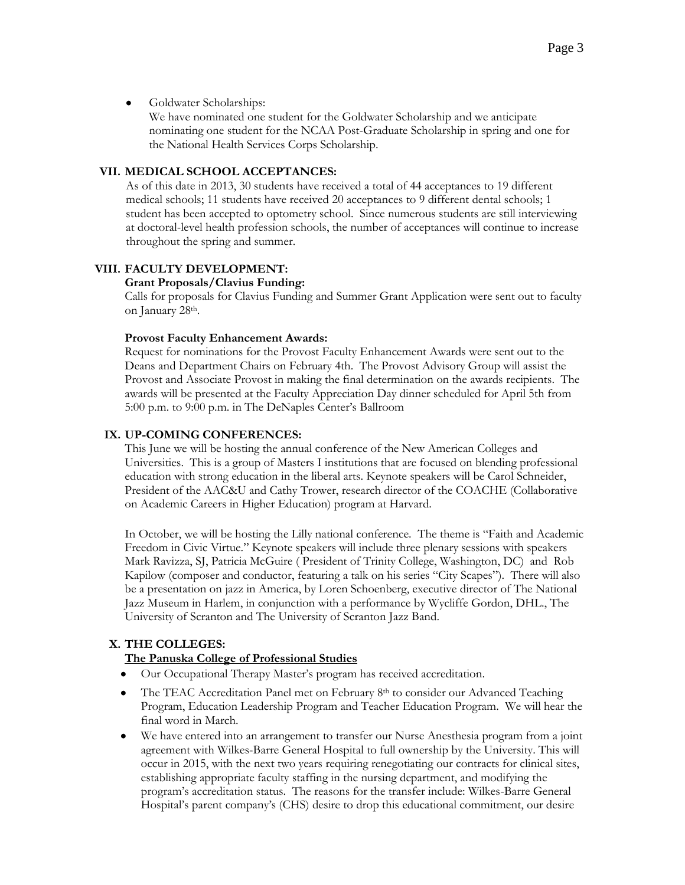#### $\bullet$ Goldwater Scholarships:

We have nominated one student for the Goldwater Scholarship and we anticipate nominating one student for the NCAA Post-Graduate Scholarship in spring and one for the National Health Services Corps Scholarship.

## **VII. MEDICAL SCHOOL ACCEPTANCES:**

As of this date in 2013, 30 students have received a total of 44 acceptances to 19 different medical schools; 11 students have received 20 acceptances to 9 different dental schools; 1 student has been accepted to optometry school. Since numerous students are still interviewing at doctoral-level health profession schools, the number of acceptances will continue to increase throughout the spring and summer.

# **VIII. FACULTY DEVELOPMENT:**

# **Grant Proposals/Clavius Funding:**

Calls for proposals for Clavius Funding and Summer Grant Application were sent out to faculty on January 28th.

# **Provost Faculty Enhancement Awards:**

Request for nominations for the Provost Faculty Enhancement Awards were sent out to the Deans and Department Chairs on February 4th. The Provost Advisory Group will assist the Provost and Associate Provost in making the final determination on the awards recipients. The awards will be presented at the Faculty Appreciation Day dinner scheduled for April 5th from 5:00 p.m. to 9:00 p.m. in The DeNaples Center's Ballroom

# **IX. UP-COMING CONFERENCES:**

This June we will be hosting the annual conference of the New American Colleges and Universities. This is a group of Masters I institutions that are focused on blending professional education with strong education in the liberal arts. Keynote speakers will be Carol Schneider, President of the AAC&U and Cathy Trower, research director of the COACHE (Collaborative on Academic Careers in Higher Education) program at Harvard.

In October, we will be hosting the Lilly national conference. The theme is "Faith and Academic Freedom in Civic Virtue." Keynote speakers will include three plenary sessions with speakers Mark Ravizza, SJ, Patricia McGuire ( President of Trinity College, Washington, DC) and Rob Kapilow (composer and conductor, featuring a talk on his series "City Scapes"). There will also be a presentation on jazz in America, by Loren Schoenberg, executive director of The National Jazz Museum in Harlem, in conjunction with a performance by Wycliffe Gordon, DHL., The University of Scranton and The University of Scranton Jazz Band.

# **X. THE COLLEGES:**

# **The Panuska College of Professional Studies**

- Our Occupational Therapy Master's program has received accreditation.
- $\bullet$ The TEAC Accreditation Panel met on February 8th to consider our Advanced Teaching Program, Education Leadership Program and Teacher Education Program. We will hear the final word in March.
- We have entered into an arrangement to transfer our Nurse Anesthesia program from a joint agreement with Wilkes-Barre General Hospital to full ownership by the University. This will occur in 2015, with the next two years requiring renegotiating our contracts for clinical sites, establishing appropriate faculty staffing in the nursing department, and modifying the program's accreditation status. The reasons for the transfer include: Wilkes-Barre General Hospital's parent company's (CHS) desire to drop this educational commitment, our desire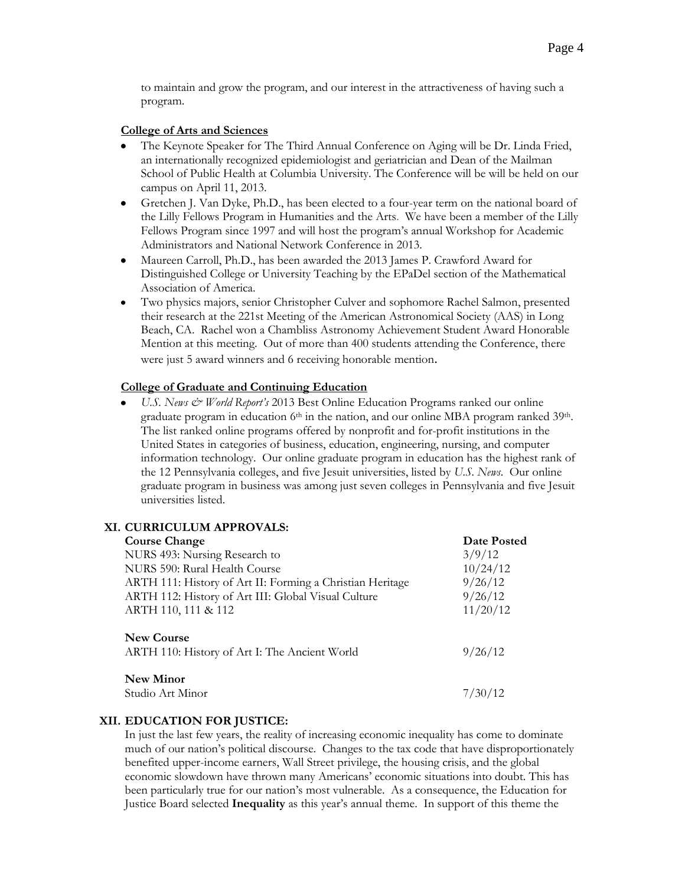to maintain and grow the program, and our interest in the attractiveness of having such a program.

## **College of Arts and Sciences**

- The Keynote Speaker for The Third Annual Conference on Aging will be Dr. Linda Fried, an internationally recognized epidemiologist and geriatrician and Dean of the Mailman School of Public Health at Columbia University. The Conference will be will be held on our campus on April 11, 2013.
- Gretchen J. Van Dyke, Ph.D., has been elected to a four-year term on the national board of the Lilly Fellows Program in Humanities and the Arts. We have been a member of the Lilly Fellows Program since 1997 and will host the program's annual Workshop for Academic Administrators and National Network Conference in 2013.
- Maureen Carroll, Ph.D., has been awarded the 2013 James P. Crawford Award for  $\bullet$ Distinguished College or University Teaching by the EPaDel section of the Mathematical Association of America.
- Two physics majors, senior Christopher Culver and sophomore Rachel Salmon, presented their research at the 221st Meeting of the American Astronomical Society (AAS) in Long Beach, CA. Rachel won a Chambliss Astronomy Achievement Student Award Honorable Mention at this meeting. Out of more than 400 students attending the Conference, there were just 5 award winners and 6 receiving honorable mention.

#### **College of Graduate and Continuing Education**

*U.S. News & World Report's* 2013 Best Online Education Programs ranked our online graduate program in education  $6<sup>th</sup>$  in the nation, and our online MBA program ranked  $39<sup>th</sup>$ . The list ranked online programs offered by nonprofit and for-profit institutions in the United States in categories of business, education, engineering, nursing, and computer information technology. Our online graduate program in education has the highest rank of the 12 Pennsylvania colleges, and five Jesuit universities, listed by *U.S. News*. Our online graduate program in business was among just seven colleges in Pennsylvania and five Jesuit universities listed.

#### **XI. CURRICULUM APPROVALS:**

| <b>Course Change</b>                                               | Date Posted |
|--------------------------------------------------------------------|-------------|
| NURS 493: Nursing Research to                                      | 3/9/12      |
| NURS 590: Rural Health Course                                      | 10/24/12    |
| ARTH 111: History of Art II: Forming a Christian Heritage          | 9/26/12     |
| ARTH 112: History of Art III: Global Visual Culture                | 9/26/12     |
| ARTH 110, 111 & 112                                                | 11/20/12    |
| <b>New Course</b><br>ARTH 110: History of Art I: The Ancient World | 9/26/12     |
| <b>New Minor</b>                                                   |             |
| Studio Art Minor                                                   | 7/30/12     |

#### **XII. EDUCATION FOR JUSTICE:**

In just the last few years, the reality of increasing economic inequality has come to dominate much of our nation's political discourse. Changes to the tax code that have disproportionately benefited upper-income earners, Wall Street privilege, the housing crisis, and the global economic slowdown have thrown many Americans' economic situations into doubt. This has been particularly true for our nation's most vulnerable. As a consequence, the Education for Justice Board selected **Inequality** as this year's annual theme. In support of this theme the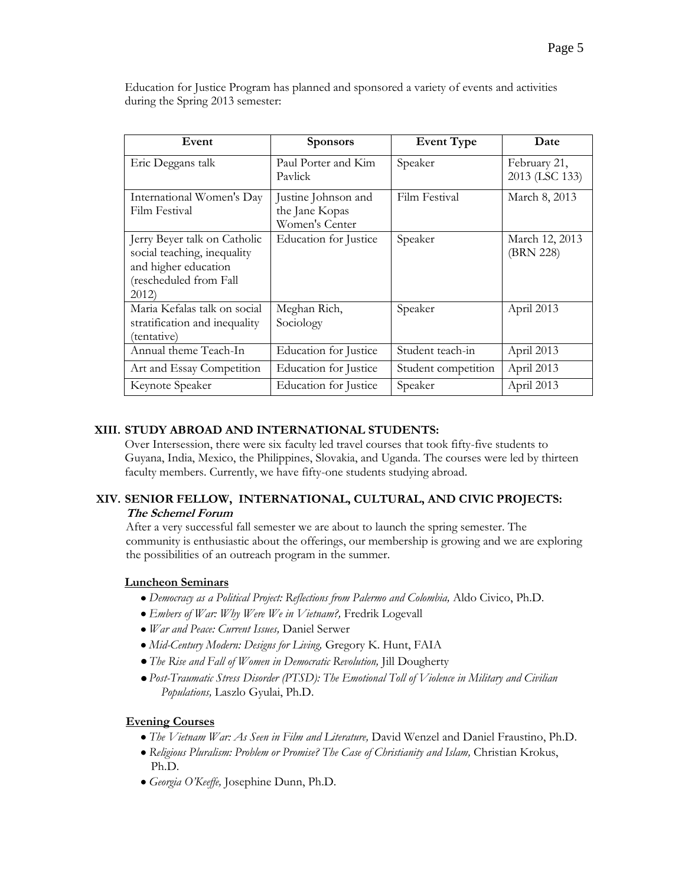| Education for Justice Program has planned and sponsored a variety of events and activities |  |
|--------------------------------------------------------------------------------------------|--|
| during the Spring 2013 semester:                                                           |  |

| Event                                                                                                                 | <b>Sponsors</b>                                         | <b>Event Type</b>   | Date                           |
|-----------------------------------------------------------------------------------------------------------------------|---------------------------------------------------------|---------------------|--------------------------------|
| Eric Deggans talk                                                                                                     | Paul Porter and Kim<br>Pavlick                          | Speaker             | February 21,<br>2013 (LSC 133) |
| International Women's Day<br>Film Festival                                                                            | Justine Johnson and<br>the Jane Kopas<br>Women's Center | Film Festival       | March 8, 2013                  |
| Jerry Beyer talk on Catholic<br>social teaching, inequality<br>and higher education<br>(rescheduled from Fall<br>2012 | Education for Justice                                   | Speaker             | March 12, 2013<br>(BRN 228)    |
| Maria Kefalas talk on social<br>stratification and inequality<br>(tentative)                                          | Meghan Rich,<br>Sociology                               | Speaker             | April 2013                     |
| Annual theme Teach-In                                                                                                 | Education for Justice                                   | Student teach-in    | April 2013                     |
| Art and Essay Competition                                                                                             | Education for Justice                                   | Student competition | April 2013                     |
| Keynote Speaker                                                                                                       | Education for Justice                                   | Speaker             | April 2013                     |

# **XIII. STUDY ABROAD AND INTERNATIONAL STUDENTS:**

Over Intersession, there were six faculty led travel courses that took fifty-five students to Guyana, India, Mexico, the Philippines, Slovakia, and Uganda. The courses were led by thirteen faculty members. Currently, we have fifty-one students studying abroad.

# **XIV. SENIOR FELLOW, INTERNATIONAL, CULTURAL, AND CIVIC PROJECTS: The Schemel Forum**

After a very successful fall semester we are about to launch the spring semester. The community is enthusiastic about the offerings, our membership is growing and we are exploring the possibilities of an outreach program in the summer.

# **Luncheon Seminars**

- *Democracy as a Political Project: Reflections from Palermo and Colombia,* Aldo Civico, Ph.D.
- *Embers of War: Why Were We in Vietnam?,* Fredrik Logevall
- *War and Peace: Current Issues,* Daniel Serwer
- *Mid-Century Modern: Designs for Living,* Gregory K. Hunt, FAIA
- *The Rise and Fall of Women in Democratic Revolution,* Jill Dougherty
- *Post-Traumatic Stress Disorder (PTSD): The Emotional Toll of Violence in Military and Civilian Populations,* Laszlo Gyulai, Ph.D.

# **Evening Courses**

- *The Vietnam War: As Seen in Film and Literature,* David Wenzel and Daniel Fraustino, Ph.D.
- *Religious Pluralism: Problem or Promise? The Case of Christianity and Islam,* Christian Krokus, Ph.D.
- *Georgia O'Keeffe,* Josephine Dunn, Ph.D.